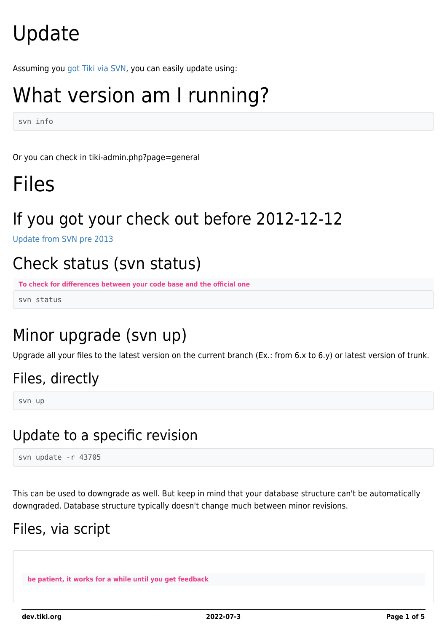# Update

Assuming you [got Tiki via SVN,](https://dev.tiki.org/Get-code) you can easily update using:

# What version am I running?

svn info

Or you can check in tiki-admin.php?page=general

## Files

### If you got your check out before 2012-12-12

[Update from SVN pre 2013](https://dev.tiki.org/Update-from-SVN-pre-2013)

### Check status (svn status)

**To check for differences between your code base and the official one**

svn status

### Minor upgrade (svn up)

Upgrade all your files to the latest version on the current branch (Ex.: from 6.x to 6.y) or latest version of trunk.

### Files, directly

svn up

### Update to a specific revision

svn update -r 43705

This can be used to downgrade as well. But keep in mind that your database structure can't be automatically downgraded. Database structure typically doesn't change much between minor revisions.

### Files, via script

**be patient, it works for a while until you get feedback**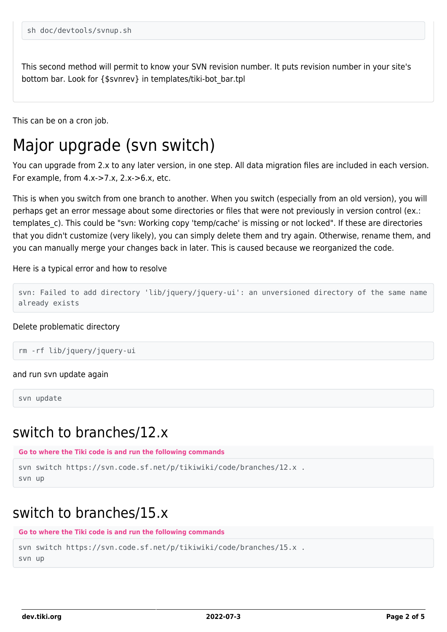This second method will permit to know your SVN revision number. It puts revision number in your site's bottom bar. Look for {\$svnrev} in templates/tiki-bot\_bar.tpl

This can be on a cron job.

### Major upgrade (svn switch)

You can upgrade from 2.x to any later version, in one step. All data migration files are included in each version. For example, from  $4.x\rightarrow 7.x$ ,  $2.x\rightarrow 6.x$ , etc.

This is when you switch from one branch to another. When you switch (especially from an old version), you will perhaps get an error message about some directories or files that were not previously in version control (ex.: templates c). This could be "svn: Working copy 'temp/cache' is missing or not locked". If these are directories that you didn't customize (very likely), you can simply delete them and try again. Otherwise, rename them, and you can manually merge your changes back in later. This is caused because we reorganized the code.

#### Here is a typical error and how to resolve

```
svn: Failed to add directory 'lib/jquery/jquery-ui': an unversioned directory of the same name
already exists
```
#### Delete problematic directory

```
rm -rf lib/jquery/jquery-ui
```
#### and run svn update again

svn update

#### switch to branches/12.x

```
Go to where the Tiki code is and run the following commands
svn switch https://svn.code.sf.net/p/tikiwiki/code/branches/12.x .
svn up
```
#### switch to branches/15.x

```
Go to where the Tiki code is and run the following commands
```

```
svn switch https://svn.code.sf.net/p/tikiwiki/code/branches/15.x .
svn up
```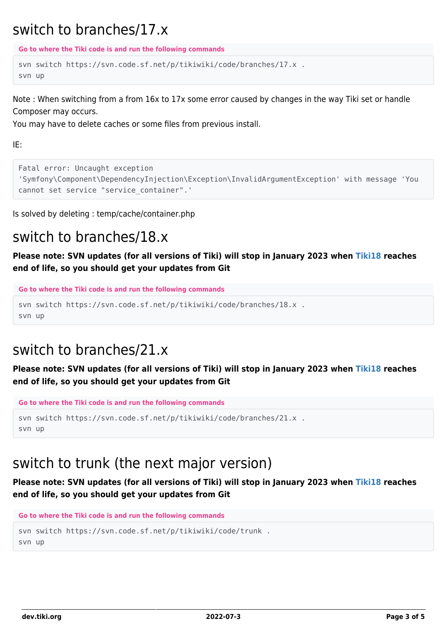#### switch to branches/17.x

**Go to where the Tiki code is and run the following commands**

```
svn switch https://svn.code.sf.net/p/tikiwiki/code/branches/17.x .
svn up
```
Note : When switching from a from 16x to 17x some error caused by changes in the way Tiki set or handle Composer may occurs.

You may have to delete caches or some files from previous install.

IE:

```
Fatal error: Uncaught exception
'Symfony\Component\DependencyInjection\Exception\InvalidArgumentException' with message 'You
cannot set service "service container".'
```
Is solved by deleting : temp/cache/container.php

### switch to branches/18.x

**Please note: SVN updates (for all versions of Tiki) will stop in January 2023 when [Tiki18](http://doc.tiki.org/Tiki18) reaches end of life, so you should get your updates from Git**

```
Go to where the Tiki code is and run the following commands
```

```
svn switch https://svn.code.sf.net/p/tikiwiki/code/branches/18.x .
svn up
```
### switch to branches/21.x

**Please note: SVN updates (for all versions of Tiki) will stop in January 2023 when [Tiki18](http://doc.tiki.org/Tiki18) reaches end of life, so you should get your updates from Git**

**Go to where the Tiki code is and run the following commands**

```
svn switch https://svn.code.sf.net/p/tikiwiki/code/branches/21.x .
svn up
```
### switch to trunk (the next major version)

**Please note: SVN updates (for all versions of Tiki) will stop in January 2023 when [Tiki18](http://doc.tiki.org/Tiki18) reaches end of life, so you should get your updates from Git**

```
Go to where the Tiki code is and run the following commands
svn switch https://svn.code.sf.net/p/tikiwiki/code/trunk .
```
svn up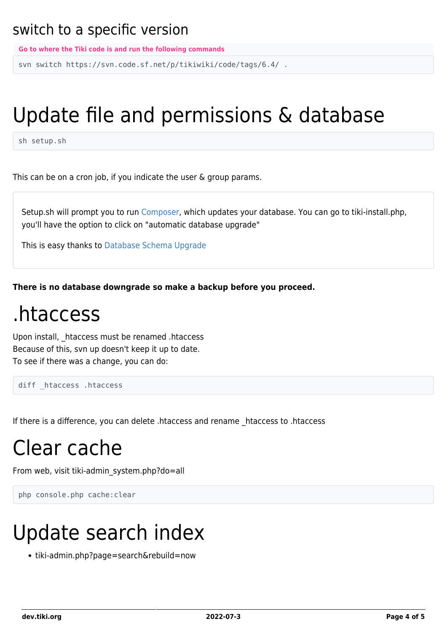#### switch to a specific version

**Go to where the Tiki code is and run the following commands**

svn switch https://svn.code.sf.net/p/tikiwiki/code/tags/6.4/ .

# Update file and permissions & database

sh setup.sh

This can be on a cron job, if you indicate the user & group params.

Setup.sh will prompt you to run [Composer,](https://dev.tiki.org/Composer) which updates your database. You can go to tiki-install.php, you'll have the option to click on "automatic database upgrade"

This is easy thanks to [Database Schema Upgrade](https://dev.tiki.org/Database-Schema-Upgrade)

**There is no database downgrade so make a backup before you proceed.**

### .htaccess

Upon install, \_htaccess must be renamed .htaccess Because of this, svn up doesn't keep it up to date. To see if there was a change, you can do:

diff htaccess .htaccess

If there is a difference, you can delete .htaccess and rename \_htaccess to .htaccess

## Clear cache

From web, visit tiki-admin\_system.php?do=all

```
php console.php cache:clear
```
# Update search index

• tiki-admin.php?page=search&rebuild=now